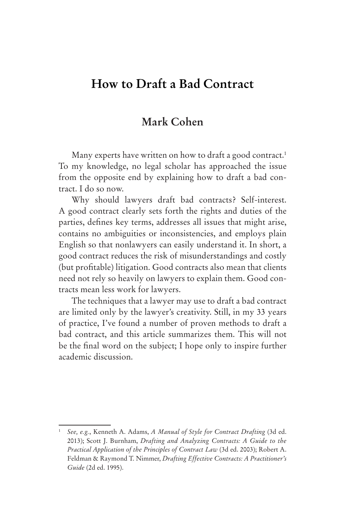# **How to Draft a Bad Contract**

# **Mark Cohen**

Many experts have written on how to draft a good contract.<sup>1</sup> To my knowledge, no legal scholar has approached the issue from the opposite end by explaining how to draft a bad contract. I do so now.

Why should lawyers draft bad contracts? Self-interest. A good contract clearly sets forth the rights and duties of the parties, defines key terms, addresses all issues that might arise, contains no ambiguities or inconsistencies, and employs plain English so that nonlawyers can easily understand it. In short, a good contract reduces the risk of misunderstandings and costly (but profitable) litigation. Good contracts also mean that clients need not rely so heavily on lawyers to explain them. Good contracts mean less work for lawyers.

The techniques that a lawyer may use to draft a bad contract are limited only by the lawyer's creativity. Still, in my 33 years of practice, I've found a number of proven methods to draft a bad contract, and this article summarizes them. This will not be the final word on the subject; I hope only to inspire further academic discussion.

<sup>1</sup> *See, e.g.*, Kenneth A. Adams, *A Manual of Style for Contract Drafting* (3d ed. 2013); Scott J. Burnham, *Drafting and Analyzing Contracts: A Guide to the Practical Application of the Principles of Contract Law* (3d ed. 2003); Robert A. Feldman & Raymond T. Nimmer, *Drafting Effective Contracts: A Practitioner's Guide* (2d ed. 1995).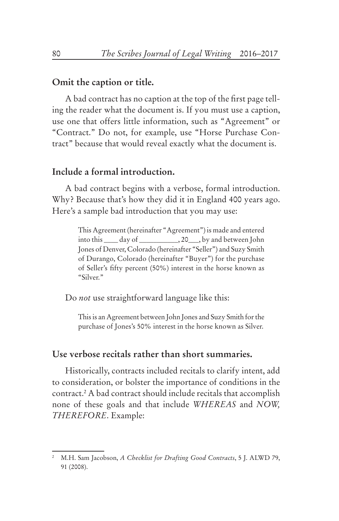## **Omit the caption or title.**

A bad contract has no caption at the top of the first page telling the reader what the document is. If you must use a caption, use one that offers little information, such as "Agreement" or "Contract." Do not, for example, use "Horse Purchase Contract" because that would reveal exactly what the document is.

## **Include a formal introduction.**

A bad contract begins with a verbose, formal introduction. Why? Because that's how they did it in England 400 years ago. Here's a sample bad introduction that you may use:

> This Agreement (hereinafter "Agreement") is made and entered into this \_\_\_\_ day of \_\_\_\_\_\_\_\_\_\_\_, 20\_\_\_, by and between John Jones of Denver, Colorado (hereinafter "Seller") and Suzy Smith of Durango, Colorado (hereinafter "Buyer") for the purchase of Seller's fifty percent (50%) interest in the horse known as "Silver."

Do *not* use straightforward language like this:

This is an Agreement between John Jones and Suzy Smith for the purchase of Jones's 50% interest in the horse known as Silver.

# **Use verbose recitals rather than short summaries.**

Historically, contracts included recitals to clarify intent, add to consideration, or bolster the importance of conditions in the contract.2 A bad contract should include recitals that accomplish none of these goals and that include *WHEREAS* and *NOW, THEREFORE*. Example:

<sup>2</sup> M.H. Sam Jacobson, *A Checklist for Drafting Good Contracts*, 5 J. ALWD 79, 91 (2008).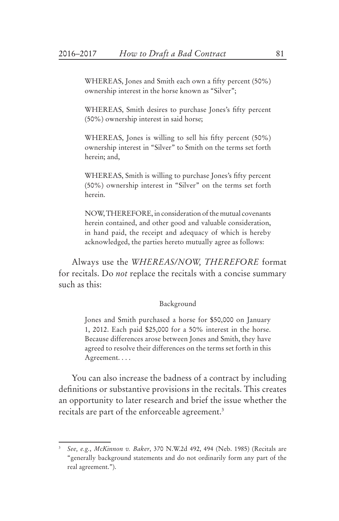WHEREAS, Jones and Smith each own a fifty percent (50%) ownership interest in the horse known as "Silver";

WHEREAS, Smith desires to purchase Jones's fifty percent (50%) ownership interest in said horse;

WHEREAS, Jones is willing to sell his fifty percent (50%) ownership interest in "Silver" to Smith on the terms set forth herein; and,

WHEREAS, Smith is willing to purchase Jones's fifty percent (50%) ownership interest in "Silver" on the terms set forth herein.

NOW, THEREFORE, in consideration of the mutual covenants herein contained, and other good and valuable consideration, in hand paid, the receipt and adequacy of which is hereby acknowledged, the parties hereto mutually agree as follows:

Always use the *WHEREAS/NOW, THEREFORE* format for recitals. Do *not* replace the recitals with a concise summary such as this:

#### Background

Jones and Smith purchased a horse for \$50,000 on January 1, 2012. Each paid \$25,000 for a 50% interest in the horse. Because differences arose between Jones and Smith, they have agreed to resolve their differences on the terms set forth in this Agreement. . . .

You can also increase the badness of a contract by including definitions or substantive provisions in the recitals. This creates an opportunity to later research and brief the issue whether the recitals are part of the enforceable agreement.<sup>3</sup>

<sup>3</sup> *See, e.g.*, *McKinnon v. Baker*, 370 N.W.2d 492, 494 (Neb. 1985) (Recitals are "generally background statements and do not ordinarily form any part of the real agreement.").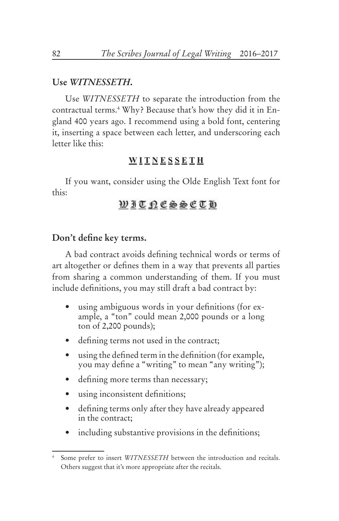#### **Use** *WITNESSETH***.**

Use *WITNESSETH* to separate the introduction from the contractual terms.4 Why? Because that's how they did it in England 400 years ago. I recommend using a bold font, centering it, inserting a space between each letter, and underscoring each letter like this:

#### **W I T N E S S E T H**

If you want, consider using the Olde English Text font for this:

# **WITRESSCTD**

# **Don't define key terms.**

A bad contract avoids defining technical words or terms of art altogether or defines them in a way that prevents all parties from sharing a common understanding of them. If you must include definitions, you may still draft a bad contract by:

- using ambiguous words in your definitions (for example, a "ton" could mean 2,000 pounds or a long ton of 2,200 pounds);
- • defining terms not used in the contract;
- using the defined term in the definition (for example, you may define a "writing" to mean "any writing");
- • defining more terms than necessary;
- using inconsistent definitions;
- defining terms only after they have already appeared in the contract;
- including substantive provisions in the definitions;

Some prefer to insert *WITNESSETH* between the introduction and recitals. Others suggest that it's more appropriate after the recitals.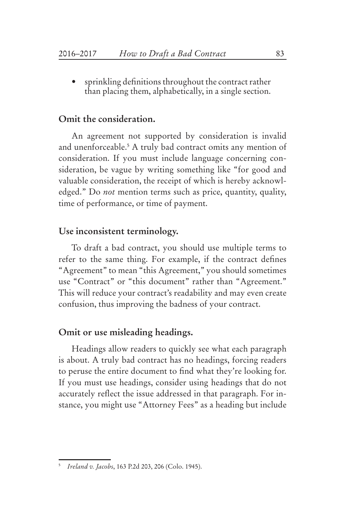sprinkling definitions throughout the contract rather than placing them, alphabetically, in a single section.

# **Omit the consideration.**

An agreement not supported by consideration is invalid and unenforceable.5 A truly bad contract omits any mention of consideration. If you must include language concerning consideration, be vague by writing something like "for good and valuable consideration, the receipt of which is hereby acknowledged." Do *not* mention terms such as price, quantity, quality, time of performance, or time of payment.

### **Use inconsistent terminology.**

To draft a bad contract, you should use multiple terms to refer to the same thing. For example, if the contract defines "Agreement" to mean "this Agreement," you should sometimes use "Contract" or "this document" rather than "Agreement." This will reduce your contract's readability and may even create confusion, thus improving the badness of your contract.

#### **Omit or use misleading headings.**

Headings allow readers to quickly see what each paragraph is about. A truly bad contract has no headings, forcing readers to peruse the entire document to find what they're looking for. If you must use headings, consider using headings that do not accurately reflect the issue addressed in that paragraph. For instance, you might use "Attorney Fees" as a heading but include

<sup>5</sup> *Ireland v. Jacobs*, 163 P.2d 203, 206 (Colo. 1945).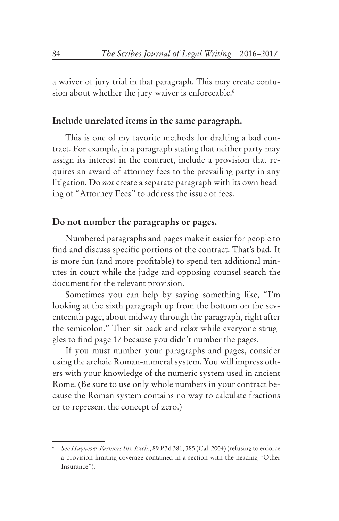a waiver of jury trial in that paragraph. This may create confusion about whether the jury waiver is enforceable.<sup>6</sup>

# **Include unrelated items in the same paragraph.**

This is one of my favorite methods for drafting a bad contract. For example, in a paragraph stating that neither party may assign its interest in the contract, include a provision that requires an award of attorney fees to the prevailing party in any litigation. Do *not* create a separate paragraph with its own heading of "Attorney Fees" to address the issue of fees.

# **Do not number the paragraphs or pages.**

Numbered paragraphs and pages make it easier for people to find and discuss specific portions of the contract. That's bad. It is more fun (and more profitable) to spend ten additional minutes in court while the judge and opposing counsel search the document for the relevant provision.

Sometimes you can help by saying something like, "I'm looking at the sixth paragraph up from the bottom on the seventeenth page, about midway through the paragraph, right after the semicolon." Then sit back and relax while everyone struggles to find page 17 because you didn't number the pages.

If you must number your paragraphs and pages, consider using the archaic Roman-numeral system. You will impress others with your knowledge of the numeric system used in ancient Rome. (Be sure to use only whole numbers in your contract because the Roman system contains no way to calculate fractions or to represent the concept of zero.)

<sup>6</sup> *See Haynes v. Farmers Ins. Exch.*, 89 P.3d 381, 385 (Cal. 2004) (refusing to enforce a provision limiting coverage contained in a section with the heading "Other Insurance").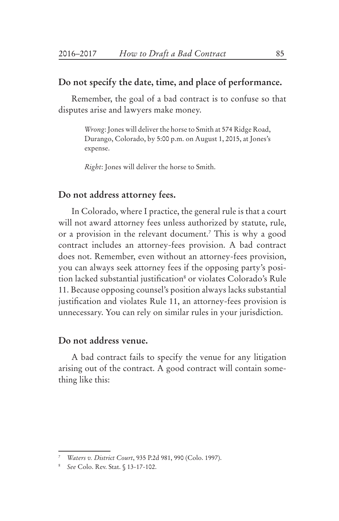# **Do not specify the date, time, and place of performance.**

Remember, the goal of a bad contract is to confuse so that disputes arise and lawyers make money.

> *Wrong*: Jones will deliver the horse to Smith at 574 Ridge Road, Durango, Colorado, by 5:00 p.m. on August 1, 2015, at Jones's expense.

*Right*: Jones will deliver the horse to Smith.

# **Do not address attorney fees.**

In Colorado, where I practice, the general rule is that a court will not award attorney fees unless authorized by statute, rule, or a provision in the relevant document.7 This is why a good contract includes an attorney-fees provision. A bad contract does not. Remember, even without an attorney-fees provision, you can always seek attorney fees if the opposing party's position lacked substantial justification<sup>s</sup> or violates Colorado's Rule 11. Because opposing counsel's position always lacks substantial justification and violates Rule 11, an attorney-fees provision is unnecessary. You can rely on similar rules in your jurisdiction.

## **Do not address venue.**

A bad contract fails to specify the venue for any litigation arising out of the contract. A good contract will contain something like this:

<sup>7</sup> *Waters v. District Court*, 935 P.2d 981, 990 (Colo. 1997).

<sup>8</sup> *See* Colo. Rev. Stat. § 13-17-102.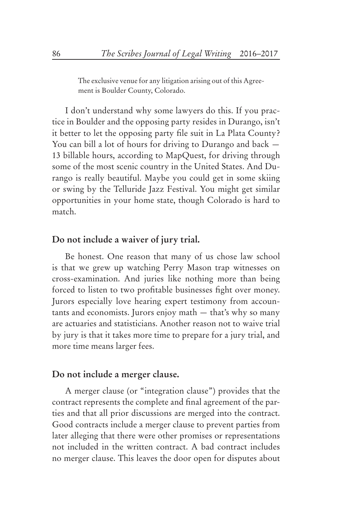The exclusive venue for any litigation arising out of this Agreement is Boulder County, Colorado.

I don't understand why some lawyers do this. If you practice in Boulder and the opposing party resides in Durango, isn't it better to let the opposing party file suit in La Plata County? You can bill a lot of hours for driving to Durango and back — 13 billable hours, according to MapQuest, for driving through some of the most scenic country in the United States. And Durango is really beautiful. Maybe you could get in some skiing or swing by the Telluride Jazz Festival. You might get similar opportunities in your home state, though Colorado is hard to match.

#### **Do not include a waiver of jury trial.**

Be honest. One reason that many of us chose law school is that we grew up watching Perry Mason trap witnesses on cross-examination. And juries like nothing more than being forced to listen to two profitable businesses fight over money. Jurors especially love hearing expert testimony from accountants and economists. Jurors enjoy math — that's why so many are actuaries and statisticians. Another reason not to waive trial by jury is that it takes more time to prepare for a jury trial, and more time means larger fees.

## **Do not include a merger clause.**

A merger clause (or "integration clause") provides that the contract represents the complete and final agreement of the parties and that all prior discussions are merged into the contract. Good contracts include a merger clause to prevent parties from later alleging that there were other promises or representations not included in the written contract. A bad contract includes no merger clause. This leaves the door open for disputes about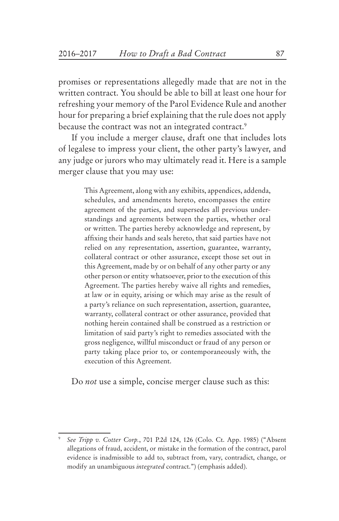promises or representations allegedly made that are not in the written contract. You should be able to bill at least one hour for refreshing your memory of the Parol Evidence Rule and another hour for preparing a brief explaining that the rule does not apply because the contract was not an integrated contract.<sup>9</sup>

If you include a merger clause, draft one that includes lots of legalese to impress your client, the other party's lawyer, and any judge or jurors who may ultimately read it. Here is a sample merger clause that you may use:

> This Agreement, along with any exhibits, appendices, addenda, schedules, and amendments hereto, encompasses the entire agreement of the parties, and supersedes all previous understandings and agreements between the parties, whether oral or written. The parties hereby acknowledge and represent, by affixing their hands and seals hereto, that said parties have not relied on any representation, assertion, guarantee, warranty, collateral contract or other assurance, except those set out in this Agreement, made by or on behalf of any other party or any other person or entity whatsoever, prior to the execution of this Agreement. The parties hereby waive all rights and remedies, at law or in equity, arising or which may arise as the result of a party's reliance on such representation, assertion, guarantee, warranty, collateral contract or other assurance, provided that nothing herein contained shall be construed as a restriction or limitation of said party's right to remedies associated with the gross negligence, willful misconduct or fraud of any person or party taking place prior to, or contemporaneously with, the execution of this Agreement.

Do *not* use a simple, concise merger clause such as this:

<sup>9</sup> *See Tripp v. Cotter Corp.*, 701 P.2d 124, 126 (Colo. Ct. App. 1985) ("Absent allegations of fraud, accident, or mistake in the formation of the contract, parol evidence is inadmissible to add to, subtract from, vary, contradict, change, or modify an unambiguous *integrated* contract.") (emphasis added).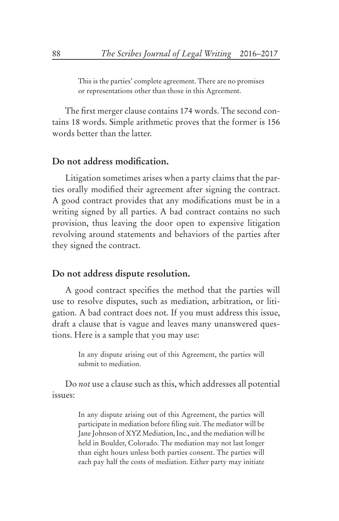This is the parties' complete agreement. There are no promises or representations other than those in this Agreement.

The first merger clause contains 174 words. The second contains 18 words. Simple arithmetic proves that the former is 156 words better than the latter.

# **Do not address modification.**

Litigation sometimes arises when a party claims that the parties orally modified their agreement after signing the contract. A good contract provides that any modifications must be in a writing signed by all parties. A bad contract contains no such provision, thus leaving the door open to expensive litigation revolving around statements and behaviors of the parties after they signed the contract.

#### **Do not address dispute resolution.**

A good contract specifies the method that the parties will use to resolve disputes, such as mediation, arbitration, or litigation. A bad contract does not. If you must address this issue, draft a clause that is vague and leaves many unanswered questions. Here is a sample that you may use:

> In any dispute arising out of this Agreement, the parties will submit to mediation.

Do *not* use a clause such as this, which addresses all potential issues:

> In any dispute arising out of this Agreement, the parties will participate in mediation before filing suit. The mediator will be Jane Johnson of XYZ Mediation, Inc., and the mediation will be held in Boulder, Colorado. The mediation may not last longer than eight hours unless both parties consent. The parties will each pay half the costs of mediation. Either party may initiate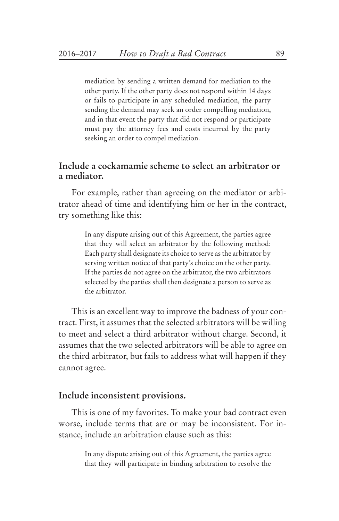mediation by sending a written demand for mediation to the other party. If the other party does not respond within 14 days or fails to participate in any scheduled mediation, the party sending the demand may seek an order compelling mediation, and in that event the party that did not respond or participate must pay the attorney fees and costs incurred by the party seeking an order to compel mediation.

# **Include a cockamamie scheme to select an arbitrator or a mediator.**

For example, rather than agreeing on the mediator or arbitrator ahead of time and identifying him or her in the contract, try something like this:

> In any dispute arising out of this Agreement, the parties agree that they will select an arbitrator by the following method: Each party shall designate its choice to serve as the arbitrator by serving written notice of that party's choice on the other party. If the parties do not agree on the arbitrator, the two arbitrators selected by the parties shall then designate a person to serve as the arbitrator.

This is an excellent way to improve the badness of your contract. First, it assumes that the selected arbitrators will be willing to meet and select a third arbitrator without charge. Second, it assumes that the two selected arbitrators will be able to agree on the third arbitrator, but fails to address what will happen if they cannot agree.

#### **Include inconsistent provisions.**

This is one of my favorites. To make your bad contract even worse, include terms that are or may be inconsistent. For instance, include an arbitration clause such as this:

> In any dispute arising out of this Agreement, the parties agree that they will participate in binding arbitration to resolve the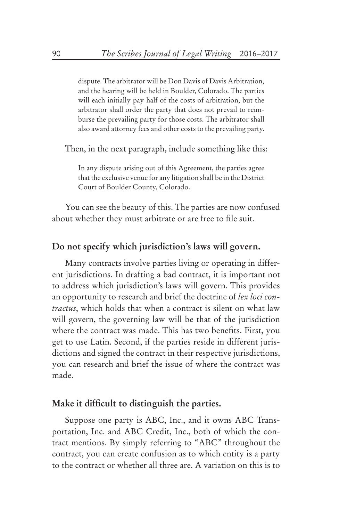dispute. The arbitrator will be Don Davis of Davis Arbitration, and the hearing will be held in Boulder, Colorado. The parties will each initially pay half of the costs of arbitration, but the arbitrator shall order the party that does not prevail to reimburse the prevailing party for those costs. The arbitrator shall also award attorney fees and other costs to the prevailing party.

Then, in the next paragraph, include something like this:

In any dispute arising out of this Agreement, the parties agree that the exclusive venue for any litigation shall be in the District Court of Boulder County, Colorado.

You can see the beauty of this. The parties are now confused about whether they must arbitrate or are free to file suit.

## **Do not specify which jurisdiction's laws will govern.**

Many contracts involve parties living or operating in different jurisdictions. In drafting a bad contract, it is important not to address which jurisdiction's laws will govern. This provides an opportunity to research and brief the doctrine of *lex loci contractus*, which holds that when a contract is silent on what law will govern, the governing law will be that of the jurisdiction where the contract was made. This has two benefits. First, you get to use Latin. Second, if the parties reside in different jurisdictions and signed the contract in their respective jurisdictions, you can research and brief the issue of where the contract was made.

#### **Make it difficult to distinguish the parties.**

Suppose one party is ABC, Inc., and it owns ABC Transportation, Inc. and ABC Credit, Inc., both of which the contract mentions. By simply referring to "ABC" throughout the contract, you can create confusion as to which entity is a party to the contract or whether all three are. A variation on this is to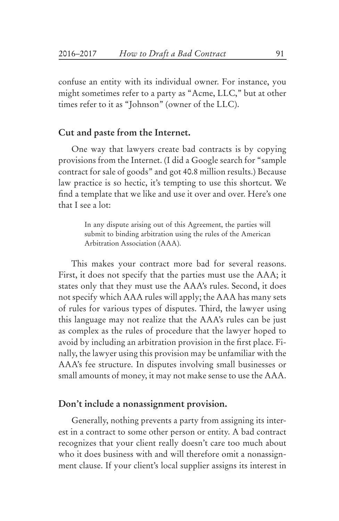confuse an entity with its individual owner. For instance, you might sometimes refer to a party as "Acme, LLC," but at other times refer to it as "Johnson" (owner of the LLC).

#### **Cut and paste from the Internet.**

One way that lawyers create bad contracts is by copying provisions from the Internet. (I did a Google search for "sample contract for sale of goods" and got 40.8 million results.) Because law practice is so hectic, it's tempting to use this shortcut. We find a template that we like and use it over and over. Here's one that I see a lot:

> In any dispute arising out of this Agreement, the parties will submit to binding arbitration using the rules of the American Arbitration Association (AAA).

This makes your contract more bad for several reasons. First, it does not specify that the parties must use the AAA; it states only that they must use the AAA's rules. Second, it does not specify which AAA rules will apply; the AAA has many sets of rules for various types of disputes. Third, the lawyer using this language may not realize that the AAA's rules can be just as complex as the rules of procedure that the lawyer hoped to avoid by including an arbitration provision in the first place. Finally, the lawyer using this provision may be unfamiliar with the AAA's fee structure. In disputes involving small businesses or small amounts of money, it may not make sense to use the AAA.

# **Don't include a nonassignment provision.**

Generally, nothing prevents a party from assigning its interest in a contract to some other person or entity. A bad contract recognizes that your client really doesn't care too much about who it does business with and will therefore omit a nonassignment clause. If your client's local supplier assigns its interest in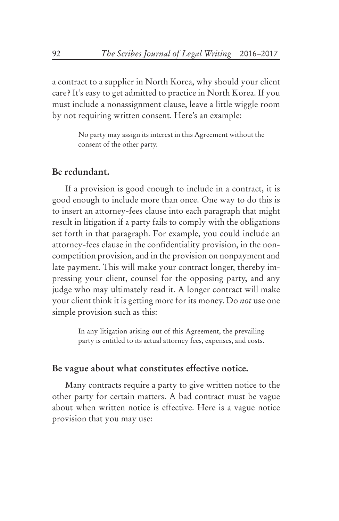a contract to a supplier in North Korea, why should your client care? It's easy to get admitted to practice in North Korea. If you must include a nonassignment clause, leave a little wiggle room by not requiring written consent. Here's an example:

> No party may assign its interest in this Agreement without the consent of the other party.

# **Be redundant.**

If a provision is good enough to include in a contract, it is good enough to include more than once. One way to do this is to insert an attorney-fees clause into each paragraph that might result in litigation if a party fails to comply with the obligations set forth in that paragraph. For example, you could include an attorney-fees clause in the confidentiality provision, in the noncompetition provision, and in the provision on nonpayment and late payment. This will make your contract longer, thereby impressing your client, counsel for the opposing party, and any judge who may ultimately read it. A longer contract will make your client think it is getting more for its money. Do *not* use one simple provision such as this:

> In any litigation arising out of this Agreement, the prevailing party is entitled to its actual attorney fees, expenses, and costs.

# **Be vague about what constitutes effective notice.**

Many contracts require a party to give written notice to the other party for certain matters. A bad contract must be vague about when written notice is effective. Here is a vague notice provision that you may use: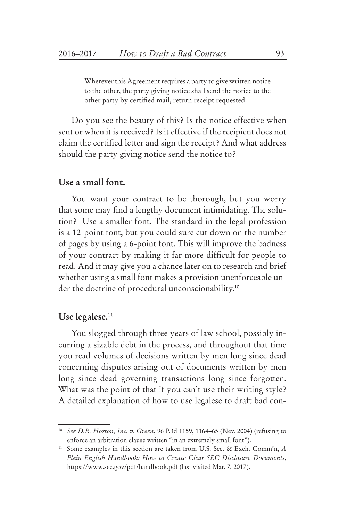Wherever this Agreement requires a party to give written notice to the other, the party giving notice shall send the notice to the other party by certified mail, return receipt requested.

Do you see the beauty of this? Is the notice effective when sent or when it is received? Is it effective if the recipient does not claim the certified letter and sign the receipt? And what address should the party giving notice send the notice to?

# **Use a small font.**

You want your contract to be thorough, but you worry that some may find a lengthy document intimidating. The solution? Use a smaller font. The standard in the legal profession is a 12-point font, but you could sure cut down on the number of pages by using a 6-point font. This will improve the badness of your contract by making it far more difficult for people to read. And it may give you a chance later on to research and brief whether using a small font makes a provision unenforceable under the doctrine of procedural unconscionability.10

#### **Use legalese.**<sup>11</sup>

You slogged through three years of law school, possibly incurring a sizable debt in the process, and throughout that time you read volumes of decisions written by men long since dead concerning disputes arising out of documents written by men long since dead governing transactions long since forgotten. What was the point of that if you can't use their writing style? A detailed explanation of how to use legalese to draft bad con-

<sup>10</sup> *See D.R. Horton, Inc. v. Green*, 96 P.3d 1159, 1164–65 (Nev. 2004) (refusing to enforce an arbitration clause written "in an extremely small font").

<sup>11</sup> Some examples in this section are taken from U.S. Sec. & Exch. Comm'n, *A Plain English Handbook: How to Create Clear SEC Disclosure Documents*, https://www.sec.gov/pdf/handbook.pdf (last visited Mar. 7, 2017).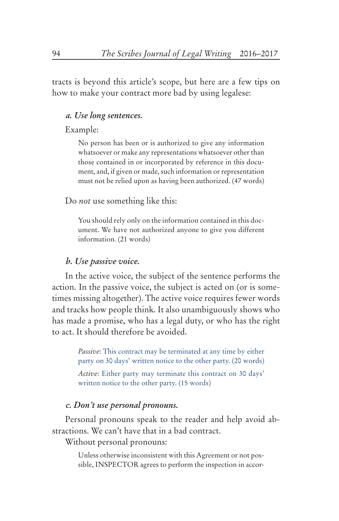tracts is beyond this article's scope, but here are a few tips on how to make your contract more bad by using legalese:

#### *a. Use long sentences.*

#### Example:

No person has been or is authorized to give any information whatsoever or make any representations whatsoever other than those contained in or incorporated by reference in this document, and, if given or made, such information or representation must not be relied upon as having been authorized. (47 words)

Do *not* use something like this:

You should rely only on the information contained in this document. We have not authorized anyone to give you different information. (21 words)

#### *b. Use passive voice.*

In the active voice, the subject of the sentence performs the action. In the passive voice, the subject is acted on (or is sometimes missing altogether). The active voice requires fewer words and tracks how people think. It also unambiguously shows who has made a promise, who has a legal duty, or who has the right to act. It should therefore be avoided.

> *Passive*: This contract may be terminated at any time by either party on 30 days' written notice to the other party. (20 words)

> *Active*: Either party may terminate this contract on 30 days' written notice to the other party. (15 words)

#### *c. Don't use personal pronouns.*

Personal pronouns speak to the reader and help avoid abstractions. We can't have that in a bad contract.

Without personal pronouns:

Unless otherwise inconsistent with this Agreement or not possible, INSPECTOR agrees to perform the inspection in accor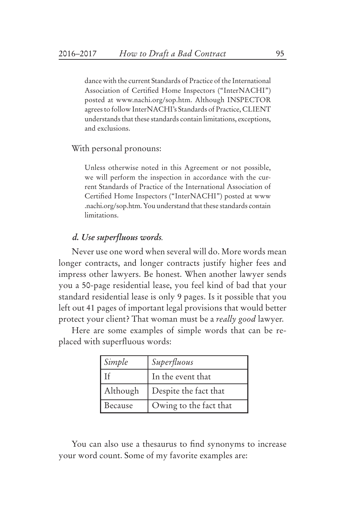dance with the current Standards of Practice of the International Association of Certified Home Inspectors ("InterNACHI") posted at www.nachi.org/sop.htm. Although INSPECTOR agrees to follow InterNACHI's Standards of Practice, CLIENT understands that these standards contain limitations, exceptions, and exclusions.

With personal pronouns:

Unless otherwise noted in this Agreement or not possible, we will perform the inspection in accordance with the current Standards of Practice of the International Association of Certified Home Inspectors ("InterNACHI") posted at www .nachi.org/sop.htm. You understand that these standards contain limitations.

# *d. Use superfluous words.*

Never use one word when several will do. More words mean longer contracts, and longer contracts justify higher fees and impress other lawyers. Be honest. When another lawyer sends you a 50-page residential lease, you feel kind of bad that your standard residential lease is only 9 pages. Is it possible that you left out 41 pages of important legal provisions that would better protect your client? That woman must be a *really good* lawyer.

Here are some examples of simple words that can be replaced with superfluous words:

| Simple   | Superfluous            |
|----------|------------------------|
|          | In the event that      |
| Although | Despite the fact that  |
| Because  | Owing to the fact that |

You can also use a thesaurus to find synonyms to increase your word count. Some of my favorite examples are: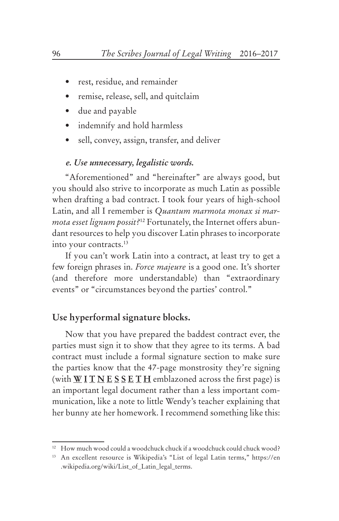- • rest, residue, and remainder
- • remise, release, sell, and quitclaim
- • due and payable
- indemnify and hold harmless
- sell, convey, assign, transfer, and deliver

#### *e. Use unnecessary, legalistic words.*

"Aforementioned" and "hereinafter" are always good, but you should also strive to incorporate as much Latin as possible when drafting a bad contract. I took four years of high-school Latin, and all I remember is *Quantum marmota monax si marmota esset lignum possit?*12 Fortunately, the Internet offers abundant resources to help you discover Latin phrases to incorporate into your contracts.13

If you can't work Latin into a contract, at least try to get a few foreign phrases in. *Force majeure* is a good one. It's shorter (and therefore more understandable) than "extraordinary events" or "circumstances beyond the parties' control."

# **Use hyperformal signature blocks.**

Now that you have prepared the baddest contract ever, the parties must sign it to show that they agree to its terms. A bad contract must include a formal signature section to make sure the parties know that the 47-page monstrosity they're signing (with **W I T N E S S E T H** emblazoned across the first page) is an important legal document rather than a less important communication, like a note to little Wendy's teacher explaining that her bunny ate her homework. I recommend something like this:

<sup>&</sup>lt;sup>12</sup> How much wood could a woodchuck chuck if a woodchuck could chuck wood?

<sup>13</sup> An excellent resource is Wikipedia's "List of legal Latin terms," https://en .wikipedia.org/wiki/List\_of\_Latin\_legal\_terms.